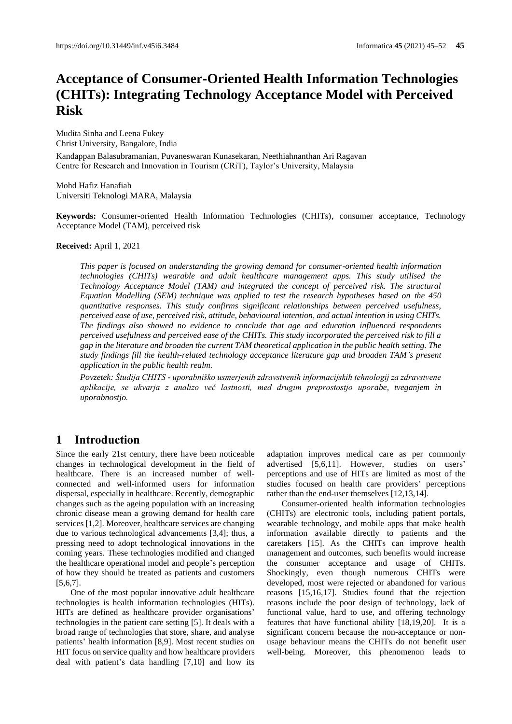# **Acceptance of Consumer-Oriented Health Information Technologies (CHITs): Integrating Technology Acceptance Model with Perceived Risk**

Mudita Sinha and Leena Fukey Christ University, Bangalore, India

Kandappan Balasubramanian, Puvaneswaran Kunasekaran, Neethiahnanthan Ari Ragavan Centre for Research and Innovation in Tourism (CRiT), Taylor's University, Malaysia

Mohd Hafiz Hanafiah Universiti Teknologi MARA, Malaysia

**Keywords:** Consumer-oriented Health Information Technologies (CHITs), consumer acceptance, Technology Acceptance Model (TAM), perceived risk

**Received:** April 1, 2021

*This paper is focused on understanding the growing demand for consumer-oriented health information technologies (CHITs) wearable and adult healthcare management apps. This study utilised the Technology Acceptance Model (TAM) and integrated the concept of perceived risk. The structural Equation Modelling (SEM) technique was applied to test the research hypotheses based on the 450 quantitative responses. This study confirms significant relationships between perceived usefulness, perceived ease of use, perceived risk, attitude, behavioural intention, and actual intention in using CHITs. The findings also showed no evidence to conclude that age and education influenced respondents perceived usefulness and perceived ease of the CHITs. This study incorporated the perceived risk to fill a gap in the literature and broaden the current TAM theoretical application in the public health setting. The study findings fill the health-related technology acceptance literature gap and broaden TAM's present application in the public health realm.*

*Povzetek: Študija CHITS - uporabniško usmerjenih zdravstvenih informacijskih tehnologij za zdravstvene aplikacije, se ukvarja z analizo več lastnosti, med drugim preprostostjo uporabe, tveganjem in uporabnostjo.*

# **1 Introduction**

Since the early 21st century, there have been noticeable changes in technological development in the field of healthcare. There is an increased number of wellconnected and well-informed users for information dispersal, especially in healthcare. Recently, demographic changes such as the ageing population with an increasing chronic disease mean a growing demand for health care services [1,2]. Moreover, healthcare services are changing due to various technological advancements [3,4]; thus, a pressing need to adopt technological innovations in the coming years. These technologies modified and changed the healthcare operational model and people's perception of how they should be treated as patients and customers  $[5,6,7]$ .

One of the most popular innovative adult healthcare technologies is health information technologies (HITs). HITs are defined as healthcare provider organisations' technologies in the patient care setting [5]. It deals with a broad range of technologies that store, share, and analyse patients' health information [8,9]. Most recent studies on HIT focus on service quality and how healthcare providers deal with patient's data handling [7,10] and how its

adaptation improves medical care as per commonly advertised [5,6,11]. However, studies on users' perceptions and use of HITs are limited as most of the studies focused on health care providers' perceptions rather than the end-user themselves [12,13,14].

Consumer-oriented health information technologies (CHITs) are electronic tools, including patient portals, wearable technology, and mobile apps that make health information available directly to patients and the caretakers [15]. As the CHITs can improve health management and outcomes, such benefits would increase the consumer acceptance and usage of CHITs. Shockingly, even though numerous CHITs were developed, most were rejected or abandoned for various reasons [15,16,17]. Studies found that the rejection reasons include the poor design of technology, lack of functional value, hard to use, and offering technology features that have functional ability [18,19,20]. It is a significant concern because the non-acceptance or nonusage behaviour means the CHITs do not benefit user well-being. Moreover, this phenomenon leads to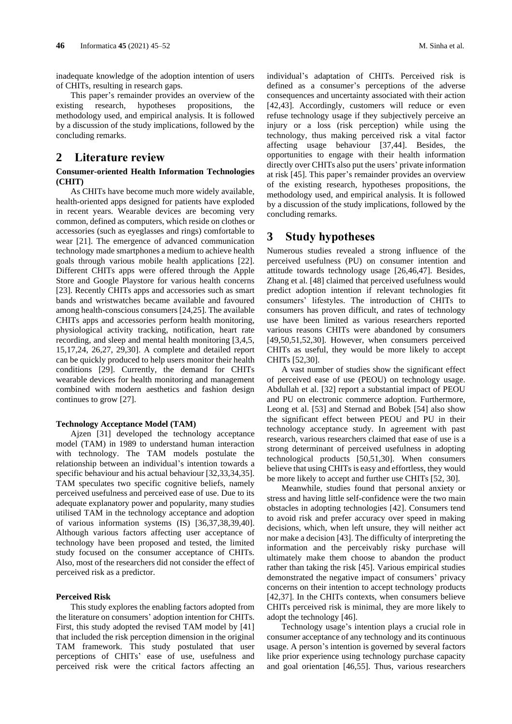inadequate knowledge of the adoption intention of users of CHITs, resulting in research gaps.

This paper's remainder provides an overview of the existing research, hypotheses propositions, the methodology used, and empirical analysis. It is followed by a discussion of the study implications, followed by the concluding remarks.

# **2 Literature review**

### **Consumer-oriented Health Information Technologies (CHIT)**

As CHITs have become much more widely available, health-oriented apps designed for patients have exploded in recent years. Wearable devices are becoming very common, defined as computers, which reside on clothes or accessories (such as eyeglasses and rings) comfortable to wear [21]. The emergence of advanced communication technology made smartphones a medium to achieve health goals through various mobile health applications [22]. Different CHITs apps were offered through the Apple Store and Google Playstore for various health concerns [23]. Recently CHITs apps and accessories such as smart bands and wristwatches became available and favoured among health-conscious consumers [24,25]. The available CHITs apps and accessories perform health monitoring, physiological activity tracking, notification, heart rate recording, and sleep and mental health monitoring [3,4,5, 15,17,24, 26,27, 29,30]. A complete and detailed report can be quickly produced to help users monitor their health conditions [29]. Currently, the demand for CHITs wearable devices for health monitoring and management combined with modern aesthetics and fashion design continues to grow [27].

### **Technology Acceptance Model (TAM)**

Ajzen [31] developed the technology acceptance model (TAM) in 1989 to understand human interaction with technology. The TAM models postulate the relationship between an individual's intention towards a specific behaviour and his actual behaviour [32,33,34,35]. TAM speculates two specific cognitive beliefs, namely perceived usefulness and perceived ease of use. Due to its adequate explanatory power and popularity, many studies utilised TAM in the technology acceptance and adoption of various information systems (IS) [36,37,38,39,40]. Although various factors affecting user acceptance of technology have been proposed and tested, the limited study focused on the consumer acceptance of CHITs. Also, most of the researchers did not consider the effect of perceived risk as a predictor.

#### **Perceived Risk**

This study explores the enabling factors adopted from the literature on consumers' adoption intention for CHITs. First, this study adopted the revised TAM model by [41] that included the risk perception dimension in the original TAM framework. This study postulated that user perceptions of CHITs' ease of use, usefulness and perceived risk were the critical factors affecting an

individual's adaptation of CHITs. Perceived risk is defined as a consumer's perceptions of the adverse consequences and uncertainty associated with their action [42,43]. Accordingly, customers will reduce or even refuse technology usage if they subjectively perceive an injury or a loss (risk perception) while using the technology, thus making perceived risk a vital factor affecting usage behaviour [37,44]. Besides, the opportunities to engage with their health information directly over CHITs also put the users' private information at risk [45]. This paper's remainder provides an overview of the existing research, hypotheses propositions, the methodology used, and empirical analysis. It is followed by a discussion of the study implications, followed by the concluding remarks.

### **3 Study hypotheses**

Numerous studies revealed a strong influence of the perceived usefulness (PU) on consumer intention and attitude towards technology usage [26,46,47]. Besides, Zhang et al. [48] claimed that perceived usefulness would predict adoption intention if relevant technologies fit consumers' lifestyles. The introduction of CHITs to consumers has proven difficult, and rates of technology use have been limited as various researchers reported various reasons CHITs were abandoned by consumers [49,50,51,52,30]. However, when consumers perceived CHITs as useful, they would be more likely to accept CHITs [52,30].

A vast number of studies show the significant effect of perceived ease of use (PEOU) on technology usage. Abdullah et al. [32] report a substantial impact of PEOU and PU on electronic commerce adoption. Furthermore, Leong et al. [53] and Sternad and Bobek [54] also show the significant effect between PEOU and PU in their technology acceptance study. In agreement with past research, various researchers claimed that ease of use is a strong determinant of perceived usefulness in adopting technological products [50,51,30]. When consumers believe that using CHITs is easy and effortless, they would be more likely to accept and further use CHITs [52, 30].

Meanwhile, studies found that personal anxiety or stress and having little self-confidence were the two main obstacles in adopting technologies [42]. Consumers tend to avoid risk and prefer accuracy over speed in making decisions, which, when left unsure, they will neither act nor make a decision [43]. The difficulty of interpreting the information and the perceivably risky purchase will ultimately make them choose to abandon the product rather than taking the risk [45]. Various empirical studies demonstrated the negative impact of consumers' privacy concerns on their intention to accept technology products [42,37]. In the CHITs contexts, when consumers believe CHITs perceived risk is minimal, they are more likely to adopt the technology [46].

Technology usage's intention plays a crucial role in consumer acceptance of any technology and its continuous usage. A person's intention is governed by several factors like prior experience using technology purchase capacity and goal orientation [46,55]. Thus, various researchers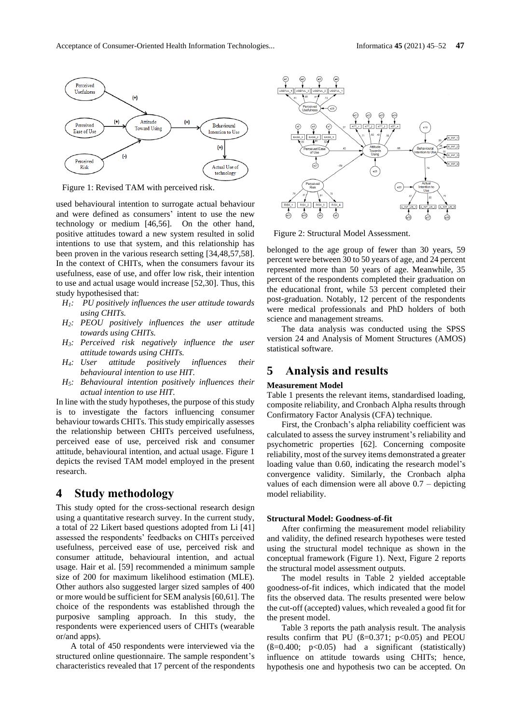

Figure 1: Revised TAM with perceived risk.

used behavioural intention to surrogate actual behaviour and were defined as consumers' intent to use the new technology or medium [46,56]. On the other hand, positive attitudes toward a new system resulted in solid intentions to use that system, and this relationship has been proven in the various research setting [34,48,57,58]. In the context of CHITs, when the consumers favour its usefulness, ease of use, and offer low risk, their intention to use and actual usage would increase [52,30]. Thus, this study hypothesised that:

- *H1: PU positively influences the user attitude towards using CHITs.*
- *H2: PEOU positively influences the user attitude towards using CHITs.*
- *H3: Perceived risk negatively influence the user attitude towards using CHITs.*
- *H4: User attitude positively influences their behavioural intention to use HIT.*
- *H5: Behavioural intention positively influences their actual intention to use HIT.*

In line with the study hypotheses, the purpose of this study is to investigate the factors influencing consumer behaviour towards CHITs. This study empirically assesses the relationship between CHITs perceived usefulness, perceived ease of use, perceived risk and consumer attitude, behavioural intention, and actual usage. Figure 1 depicts the revised TAM model employed in the present research.

# **4 Study methodology**

This study opted for the cross-sectional research design using a quantitative research survey. In the current study, a total of 22 Likert based questions adopted from Li [41] assessed the respondents' feedbacks on CHITs perceived usefulness, perceived ease of use, perceived risk and consumer attitude, behavioural intention, and actual usage. Hair et al. [59] recommended a minimum sample size of 200 for maximum likelihood estimation (MLE). Other authors also suggested larger sized samples of 400 or more would be sufficient for SEM analysis [60,61]. The choice of the respondents was established through the purposive sampling approach. In this study, the respondents were experienced users of CHITs (wearable or/and apps).

A total of 450 respondents were interviewed via the structured online questionnaire. The sample respondent's characteristics revealed that 17 percent of the respondents



Figure 2: Structural Model Assessment.

belonged to the age group of fewer than 30 years, 59 percent were between 30 to 50 years of age, and 24 percent represented more than 50 years of age. Meanwhile, 35 percent of the respondents completed their graduation on the educational front, while 53 percent completed their post-graduation. Notably, 12 percent of the respondents were medical professionals and PhD holders of both science and management streams.

The data analysis was conducted using the SPSS version 24 and Analysis of Moment Structures (AMOS) statistical software.

# **5 Analysis and results**

#### **Measurement Model**

Table 1 presents the relevant items, standardised loading, composite reliability, and Cronbach Alpha results through Confirmatory Factor Analysis (CFA) technique.

First, the Cronbach's alpha reliability coefficient was calculated to assess the survey instrument's reliability and psychometric properties [62]. Concerning composite reliability, most of the survey items demonstrated a greater loading value than 0.60, indicating the research model's convergence validity. Similarly, the Cronbach alpha values of each dimension were all above 0.7 – depicting model reliability.

#### **Structural Model: Goodness-of-fit**

After confirming the measurement model reliability and validity, the defined research hypotheses were tested using the structural model technique as shown in the conceptual framework (Figure 1). Next, Figure 2 reports the structural model assessment outputs.

The model results in Table 2 yielded acceptable goodness-of-fit indices, which indicated that the model fits the observed data. The results presented were below the cut-off (accepted) values, which revealed a good fit for the present model.

Table 3 reports the path analysis result. The analysis results confirm that PU  $(\beta=0.371; \text{ p} < 0.05)$  and PEOU  $(B=0.400; p<0.05)$  had a significant (statistically) influence on attitude towards using CHITs; hence, hypothesis one and hypothesis two can be accepted. On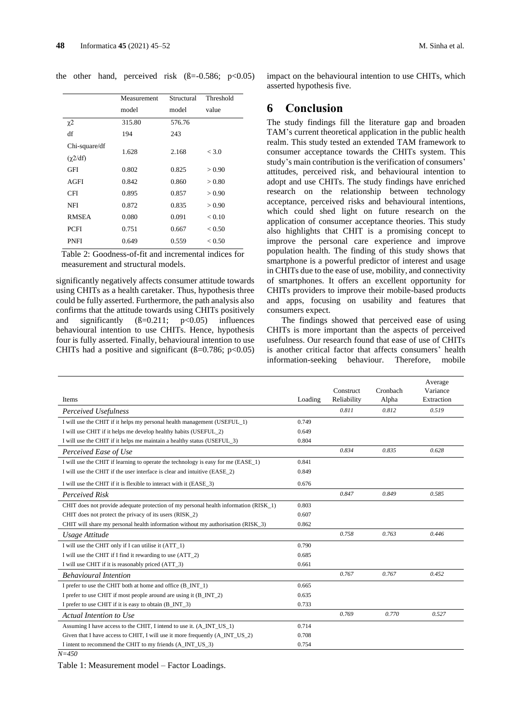the other hand, perceived risk  $(\beta = -0.586; p < 0.05)$ 

|                                  | Measurement | Structural | Threshold |
|----------------------------------|-------------|------------|-----------|
|                                  | model       | model      | value     |
| χ2                               | 315.80      | 576.76     |           |
| df                               | 194         | 243        |           |
| Chi-square/df<br>$(\gamma 2/df)$ | 1.628       | 2.168      | < 3.0     |
| <b>GFI</b>                       | 0.802       | 0.825      | > 0.90    |
| AGFI                             | 0.842       | 0.860      | > 0.80    |
| <b>CFI</b>                       | 0.895       | 0.857      | > 0.90    |
| NFI                              | 0.872       | 0.835      | > 0.90    |
| <b>RMSEA</b>                     | 0.080       | 0.091      | < 0.10    |
| <b>PCFI</b>                      | 0.751       | 0.667      | < 0.50    |
| <b>PNFI</b>                      | 0.649       | 0.559      | < 0.50    |

Table 2: Goodness-of-fit and incremental indices for measurement and structural models.

significantly negatively affects consumer attitude towards using CHITs as a health caretaker. Thus, hypothesis three could be fully asserted. Furthermore, the path analysis also confirms that the attitude towards using CHITs positively and significantly  $(B=0.211; \quad p<0.05)$  influences behavioural intention to use CHITs. Hence, hypothesis four is fully asserted. Finally, behavioural intention to use CHITs had a positive and significant ( $\beta$ =0.786; p<0.05)

impact on the behavioural intention to use CHITs, which asserted hypothesis five.

### **6 Conclusion**

The study findings fill the literature gap and broaden TAM's current theoretical application in the public health realm. This study tested an extended TAM framework to consumer acceptance towards the CHITs system. This study's main contribution is the verification of consumers' attitudes, perceived risk, and behavioural intention to adopt and use CHITs. The study findings have enriched research on the relationship between technology acceptance, perceived risks and behavioural intentions, which could shed light on future research on the application of consumer acceptance theories. This study also highlights that CHIT is a promising concept to improve the personal care experience and improve population health. The finding of this study shows that smartphone is a powerful predictor of interest and usage in CHITs due to the ease of use, mobility, and connectivity of smartphones. It offers an excellent opportunity for CHITs providers to improve their mobile-based products and apps, focusing on usability and features that consumers expect.

The findings showed that perceived ease of using CHITs is more important than the aspects of perceived usefulness. Our research found that ease of use of CHITs is another critical factor that affects consumers' health information-seeking behaviour. Therefore, mobile

|                                                                                      |         | Construct   | Cronbach | Average<br>Variance |
|--------------------------------------------------------------------------------------|---------|-------------|----------|---------------------|
| <b>Items</b>                                                                         | Loading | Reliability | Alpha    | Extraction          |
| Perceived Usefulness                                                                 |         | 0.811       | 0.812    | 0.519               |
| I will use the CHIT if it helps my personal health management (USEFUL_1)             | 0.749   |             |          |                     |
| I will use CHIT if it helps me develop healthy habits (USEFUL_2)                     | 0.649   |             |          |                     |
| I will use the CHIT if it helps me maintain a healthy status (USEFUL_3)              | 0.804   |             |          |                     |
| Perceived Ease of Use                                                                |         | 0.834       | 0.835    | 0.628               |
| I will use the CHIT if learning to operate the technology is easy for me (EASE_1)    | 0.841   |             |          |                     |
| I will use the CHIT if the user interface is clear and intuitive (EASE 2)            | 0.849   |             |          |                     |
| I will use the CHIT if it is flexible to interact with it (EASE 3)                   | 0.676   |             |          |                     |
| <b>Perceived Risk</b>                                                                |         | 0.847       | 0.849    | 0.585               |
| CHIT does not provide adequate protection of my personal health information (RISK 1) | 0.803   |             |          |                     |
| CHIT does not protect the privacy of its users (RISK_2)                              | 0.607   |             |          |                     |
| CHIT will share my personal health information without my authorisation (RISK_3)     | 0.862   |             |          |                     |
| Usage Attitude                                                                       |         | 0.758       | 0.763    | 0.446               |
| I will use the CHIT only if I can utilise it (ATT 1)                                 | 0.790   |             |          |                     |
| I will use the CHIT if I find it rewarding to use (ATT_2)                            | 0.685   |             |          |                     |
| I will use CHIT if it is reasonably priced (ATT_3)                                   | 0.661   |             |          |                     |
| <b>Behavioural Intention</b>                                                         |         | 0.767       | 0.767    | 0.452               |
| I prefer to use the CHIT both at home and office (B_INT_1)                           | 0.665   |             |          |                     |
| I prefer to use CHIT if most people around are using it (B_INT_2)                    | 0.635   |             |          |                     |
| I prefer to use CHIT if it is easy to obtain (B_INT_3)                               | 0.733   |             |          |                     |
| Actual Intention to Use                                                              |         | 0.769       | 0.770    | 0.527               |
| Assuming I have access to the CHIT, I intend to use it. (A_INT_US_1)                 | 0.714   |             |          |                     |
| Given that I have access to CHIT, I will use it more frequently (A INT US 2)         | 0.708   |             |          |                     |
| I intent to recommend the CHIT to my friends (A_INT_US_3)                            | 0.754   |             |          |                     |
| $N = 4.50$                                                                           |         |             |          |                     |

Table 1: Measurement model – Factor Loadings.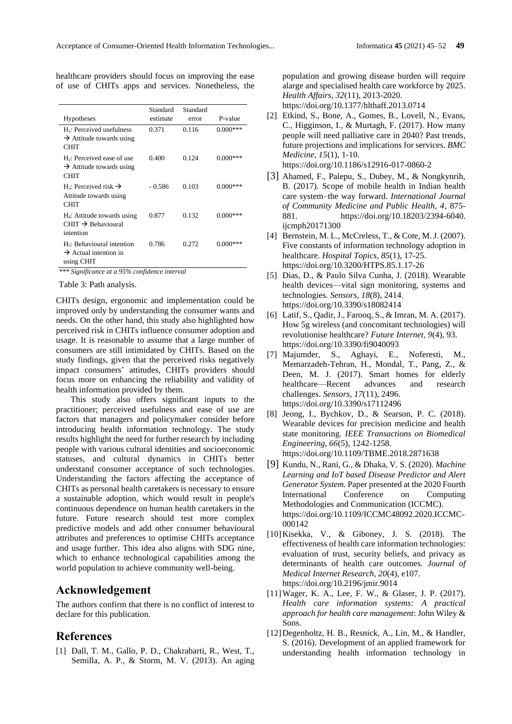| <b>Hypotheses</b>                                                                      | Standard<br>estimate | Standard<br>error | P-value    |
|----------------------------------------------------------------------------------------|----------------------|-------------------|------------|
| $H_1$ : Perceived usefulness                                                           | 0.371                | 0.116             | $0.000***$ |
| $\rightarrow$ Attitude towards using<br><b>CHIT</b>                                    |                      |                   |            |
| $H_2$ : Perceived ease of use<br>$\rightarrow$ Attitude towards using<br><b>CHIT</b>   | 0.400                | 0.124             | $0.000***$ |
| H <sub>3</sub> : Perceived risk $\rightarrow$<br>Attitude towards using<br><b>CHIT</b> | $-0.586$             | 0.103             | $0.000***$ |
| $H_4$ : Attitude towards using<br>$CHIT \rightarrow$ Behavioural<br>intention          | 0.877                | 0.132             | $0.000***$ |
| $H_5$ : Behavioural intention<br>$\rightarrow$ Actual intention in<br>using CHIT       | 0.786                | 0.272             | $0.000***$ |

healthcare providers should focus on improving the ease of use of CHITs apps and services. Nonetheless, the

*\*\*\* Significance at a 95% confidence interval*

Table 3: Path analysis.

CHITs design, ergonomic and implementation could be improved only by understanding the consumer wants and needs. On the other hand, this study also highlighted how perceived risk in CHITs influence consumer adoption and usage. It is reasonable to assume that a large number of consumers are still intimidated by CHITs. Based on the study findings, given that the perceived risks negatively impact consumers' attitudes, CHITs providers should focus more on enhancing the reliability and validity of health information provided by them.

This study also offers significant inputs to the practitioner; perceived usefulness and ease of use are factors that managers and policymaker consider before introducing health information technology. The study results highlight the need for further research by including people with various cultural identities and socioeconomic statuses, and cultural dynamics in CHITs better understand consumer acceptance of such technologies. Understanding the factors affecting the acceptance of CHITs as personal health caretakers is necessary to ensure a sustainable adoption, which would result in people's continuous dependence on human health caretakers in the future. Future research should test more complex predictive models and add other consumer behavioural attributes and preferences to optimise CHITs acceptance and usage further. This idea also aligns with SDG nine, which to enhance technological capabilities among the world population to achieve community well-being.

# **Acknowledgement**

The authors confirm that there is no conflict of interest to declare for this publication.

### **References**

[1] Dall, T. M., Gallo, P. D., Chakrabarti, R., West, T., Semilla, A. P., & Storm, M. V. (2013). An aging population and growing disease burden will require alarge and specialised health care workforce by 2025. *Health Affairs, 32*(11), 2013-2020.

<https://doi.org/10.1377/hlthaff.2013.0714>

[2] Etkind, S., Bone, A., Gomes, B., Lovell, N., Evans, C., Higginson, I., & Murtagh, F. (2017). How many people will need palliative care in 2040? Past trends, future projections and implications for services. *BMC Medicine, 15*(1), 1-10. <https://doi.org/10.1186/s12916-017-0860-2>

[3] Ahamed, F., Palepu, S., Dubey, M., & Nongkynrih, B. (2017). Scope of mobile health in Indian health care system–the way forward. *International Journal of Community Medicine and Public Health, 4*, 875- 881. [https://doi.org/10.18203/2394-6040.](https://doi.org/10.18203/2394-6040.ijcmph20171300) [ijcmph20171300](https://doi.org/10.18203/2394-6040.ijcmph20171300)

- [4] Bernstein, M. L., McCreless, T., & Cote, M. J. (2007). Five constants of information technology adoption in healthcare. *Hospital Topics, 85*(1), 17-25. <https://doi.org/10.3200/HTPS.85.1.17-26>
- [5] Dias, D., & Paulo Silva Cunha, J. (2018). Wearable health devices—vital sign monitoring, systems and technologies. *Sensors, 18*(8), 2414. <https://doi.org/10.3390/s18082414>
- [6] Latif, S., Qadir, J., Farooq, S., & Imran, M. A. (2017). How 5g wireless (and concomitant technologies) will revolutionise healthcare? *Future Internet, 9*(4), 93. <https://doi.org/10.3390/fi9040093>
- [7] Majumder, S., Aghayi, E., Noferesti, M., Memarzadeh-Tehran, H., Mondal, T., Pang, Z., & Deen, M. J. (2017). Smart homes for elderly healthcare—Recent advances and research challenges. *Sensors, 17*(11), 2496. <https://doi.org/10.3390/s17112496>
- [8] Jeong, I., Bychkov, D., & Searson, P. C. (2018). Wearable devices for precision medicine and health state monitoring. *IEEE Transactions on Biomedical Engineering, 66*(5), 1242-1258. <https://doi.org/10.1109/TBME.2018.2871638>
- [9] Kundu, N., Rani, G., & Dhaka, V. S. (2020). *Machine Learning and IoT based Disease Predictor and Alert Generator System.* Paper presented at the 2020 Fourth International Conference on Computing Methodologies and Communication (ICCMC). [https://doi.org/10.1109/ICCMC48092.2020.ICCMC-](https://doi.org/10.1109/ICCMC48092.2020.ICCMC-000142)[000142](https://doi.org/10.1109/ICCMC48092.2020.ICCMC-000142)
- [10]Kisekka, V., & Giboney, J. S. (2018). The effectiveness of health care information technologies: evaluation of trust, security beliefs, and privacy as determinants of health care outcomes. *Journal of Medical Internet Research, 20*(4), e107. <https://doi.org/10.2196/jmir.9014>
- [11]Wager, K. A., Lee, F. W., & Glaser, J. P. (2017). *Health care information systems: A practical approach for health care management*: John Wiley & Sons.
- [12]Degenholtz, H. B., Resnick, A., Lin, M., & Handler, S. (2016). Development of an applied framework for understanding health information technology in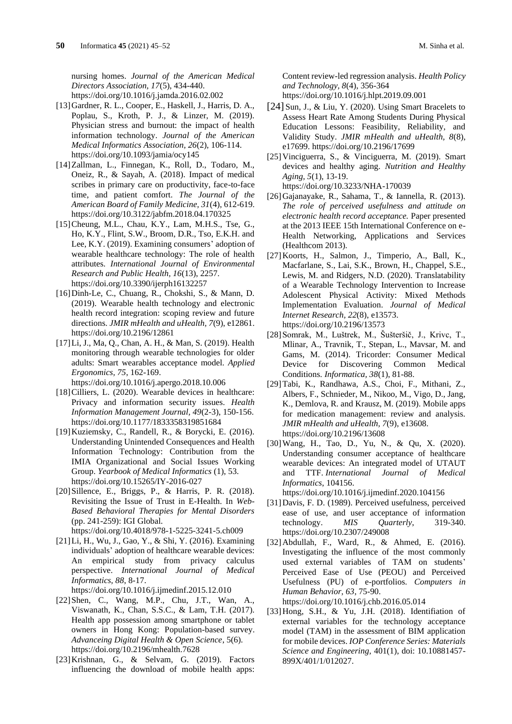nursing homes. *Journal of the American Medical Directors Association, 17*(5), 434-440. <https://doi.org/10.1016/j.jamda.2016.02.002>

- [13]Gardner, R. L., Cooper, E., Haskell, J., Harris, D. A., Poplau, S., Kroth, P. J., & Linzer, M. (2019). Physician stress and burnout: the impact of health information technology. *Journal of the American Medical Informatics Association, 26*(2), 106-114. <https://doi.org/10.1093/jamia/ocy145>
- [14]Zallman, L., Finnegan, K., Roll, D., Todaro, M., Oneiz, R., & Sayah, A. (2018). Impact of medical scribes in primary care on productivity, face-to-face time, and patient comfort. *The Journal of the American Board of Family Medicine, 31*(4), 612-619. <https://doi.org/10.3122/jabfm.2018.04.170325>
- [15] Cheung, M.L., Chau, K.Y., Lam, M.H.S., Tse, G., Ho, K.Y., Flint, S.W., Broom, D.R., Tso, E.K.H. and Lee, K.Y. (2019). Examining consumers' adoption of wearable healthcare technology: The role of health attributes. *International Journal of Environmental Research and Public Health, 16*(13), 2257. <https://doi.org/10.3390/ijerph16132257>
- [16]Dinh-Le, C., Chuang, R., Chokshi, S., & Mann, D. (2019). Wearable health technology and electronic health record integration: scoping review and future directions. *JMIR mHealth and uHealth, 7*(9), e12861. <https://doi.org/10.2196/12861>
- [17]Li, J., Ma, Q., Chan, A. H., & Man, S. (2019). Health monitoring through wearable technologies for older adults: Smart wearables acceptance model. *Applied Ergonomics, 75*, 162-169. <https://doi.org/10.1016/j.apergo.2018.10.006>
- [18] Cilliers, L. (2020). Wearable devices in healthcare: Privacy and information security issues. *Health Information Management Journal, 49*(2-3), 150-156. <https://doi.org/10.1177/1833358319851684>
- [19]Kuziemsky, C., Randell, R., & Borycki, E. (2016). Understanding Unintended Consequences and Health Information Technology: Contribution from the IMIA Organizational and Social Issues Working Group. *Yearbook of Medical Informatics* (1), 53. <https://doi.org/10.15265/IY-2016-027>
- [20]Sillence, E., Briggs, P., & Harris, P. R. (2018). Revisiting the Issue of Trust in E-Health. In *Web-Based Behavioral Therapies for Mental Disorders* (pp. 241-259): IGI Global. <https://doi.org/10.4018/978-1-5225-3241-5.ch009>
- [21]Li, H., Wu, J., Gao, Y., & Shi, Y. (2016). Examining individuals' adoption of healthcare wearable devices: An empirical study from privacy calculus perspective. *International Journal of Medical Informatics, 88*, 8-17.
- <https://doi.org/10.1016/j.ijmedinf.2015.12.010>
- [22]Shen, C., Wang, M.P., Chu, J.T., Wan, A., Viswanath, K., Chan, S.S.C., & Lam, T.H. (2017). Health app possession among smartphone or tablet owners in Hong Kong: Population-based survey. *Advanceing Digital Health & Open Science*, 5(6). <https://doi.org/10.2196/mhealth.7628>
- [23]Krishnan, G., & Selvam, G. (2019). Factors influencing the download of mobile health apps:

Content review-led regression analysis. *Health Policy and Technology, 8*(4), 356-364 <https://doi.org/10.1016/j.hlpt.2019.09.001>

- [24] Sun, J., & Liu, Y. (2020). Using Smart Bracelets to Assess Heart Rate Among Students During Physical Education Lessons: Feasibility, Reliability, and Validity Study. *JMIR mHealth and uHealth, 8*(8), e17699.<https://doi.org/10.2196/17699>
- [25]Vinciguerra, S., & Vinciguerra, M. (2019). Smart devices and healthy aging. *Nutrition and Healthy Aging, 5*(1), 13-19. <https://doi.org/10.3233/NHA-170039>
- [26]Gajanayake, R., Sahama, T., & Iannella, R. (2013). *The role of perceived usefulness and attitude on electronic health record acceptance.* Paper presented at the 2013 IEEE 15th International Conference on e-Health Networking, Applications and Services
- (Healthcom 2013). [27]Koorts, H., Salmon, J., Timperio, A., Ball, K., Macfarlane, S., Lai, S.K., Brown, H., Chappel, S.E., Lewis, M. and Ridgers, N.D. (2020). Translatability of a Wearable Technology Intervention to Increase Adolescent Physical Activity: Mixed Methods Implementation Evaluation. *Journal of Medical Internet Research, 22*(8), e13573. <https://doi.org/10.2196/13573>
- [28]Somrak, M., Luštrek, M., Šušteršič, J., Krivc, T., Mlinar, A., Travnik, T., Stepan, L., Mavsar, M. and Gams, M. (2014). Tricorder: Consumer Medical Device for Discovering Common Medical Conditions. *Informatica, 38*(1), 81-88.
- [29]Tabi, K., Randhawa, A.S., Choi, F., Mithani, Z., Albers, F., Schnieder, M., Nikoo, M., Vigo, D., Jang, K., Demlova, R. and Krausz, M. (2019). Mobile apps for medication management: review and analysis. *JMIR mHealth and uHealth, 7*(9), e13608. <https://doi.org/10.2196/13608>
- [30]Wang, H., Tao, D., Yu, N., & Qu, X. (2020). Understanding consumer acceptance of healthcare wearable devices: An integrated model of UTAUT and TTF. *International Journal of Medical Informatics*, 104156.

<https://doi.org/10.1016/j.ijmedinf.2020.104156>

- [31]Davis, F. D. (1989). Perceived usefulness, perceived ease of use, and user acceptance of information technology. *MIS Quarterly*, 319-340. <https://doi.org/10.2307/249008>
- [32]Abdullah, F., Ward, R., & Ahmed, E. (2016). Investigating the influence of the most commonly used external variables of TAM on students' Perceived Ease of Use (PEOU) and Perceived Usefulness (PU) of e-portfolios. *Computers in Human Behavior, 63*, 75-90. <https://doi.org/10.1016/j.chb.2016.05.014>
- [33]Hong, S.H., & Yu, J.H. (2018). Identifiation of external variables for the technology acceptance model (TAM) in the assessment of BIM application for mobile devices. *IOP Conference Series: Materials Science and Engineering,* 401(1), doi: 10.10881457- 899X/401/1/012027.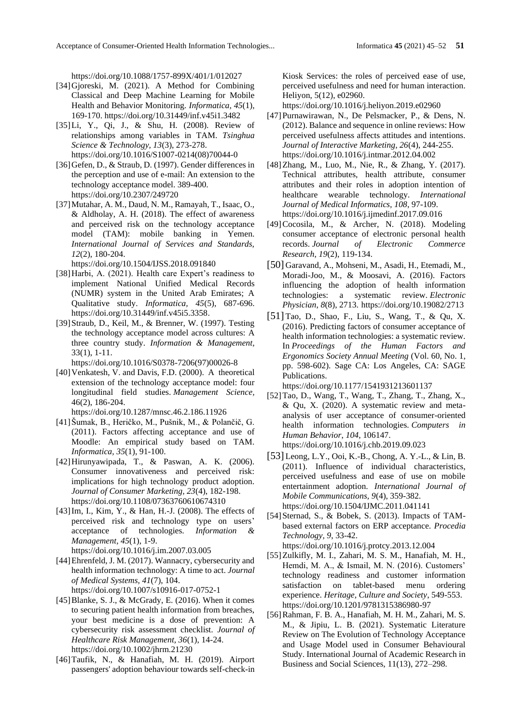<https://doi.org/10.1088/1757-899X/401/1/012027>

- [34]Gjoreski, M. (2021). A Method for Combining Classical and Deep Machine Learning for Mobile Health and Behavior Monitoring. *Informatica, 45*(1), 169-170. https://doi.org/10.31449/inf.v45i1.3482
- [35]Li, Y., Qi, J., & Shu, H. (2008). Review of relationships among variables in TAM. *Tsinghua Science & Technology, 13*(3), 273-278. [https://doi.org/10.1016/S1007-0214\(08\)70044-0](https://doi.org/10.1016/S1007-0214(08)70044-0)
- [36] Gefen, D., & Straub, D. (1997). Gender differences in the perception and use of e-mail: An extension to the technology acceptance model. 389-400. <https://doi.org/10.2307/249720>
- [37]Mutahar, A. M., Daud, N. M., Ramayah, T., Isaac, O., & Aldholay, A. H. (2018). The effect of awareness and perceived risk on the technology acceptance model (TAM): mobile banking in Yemen. *International Journal of Services and Standards, 12*(2), 180-204.

<https://doi.org/10.1504/IJSS.2018.091840>

- [38]Harbi, A. (2021). Health care Expert's readiness to implement National Unified Medical Records (NUMR) system in the United Arab Emirates; A Qualitative study. *Informatica, 45*(5), 687-696. https://doi.org/10.31449/inf.v45i5.3358.
- [39]Straub, D., Keil, M., & Brenner, W. (1997). Testing the technology acceptance model across cultures: A three country study. *Information & Management,* 33(1), 1-11.

[https://doi.org/10.1016/S0378-7206\(97\)00026-8](https://doi.org/10.1016/S0378-7206(97)00026-8)

[40] Venkatesh, V. and Davis, F.D. (2000). A theoretical extension of the technology acceptance model: four longitudinal field studies. *Management Science,*  46(2), 186-204.

<https://doi.org/10.1287/mnsc.46.2.186.11926>

- [41]Šumak, B., Heričko, M., Pušnik, M., & Polančič, G. (2011). Factors affecting acceptance and use of Moodle: An empirical study based on TAM. *Informatica, 35*(1), 91-100.
- [42]Hirunyawipada, T., & Paswan, A. K. (2006). Consumer innovativeness and perceived risk: implications for high technology product adoption. *Journal of Consumer Marketing, 23*(4), 182-198. <https://doi.org/10.1108/07363760610674310>
- [43]Im, I., Kim, Y., & Han, H.-J. (2008). The effects of perceived risk and technology type on users' acceptance of technologies. *Information & Management, 45*(1), 1-9. <https://doi.org/10.1016/j.im.2007.03.005>
- [44] Ehrenfeld, J. M. (2017). Wannacry, cybersecurity and health information technology: A time to act. *Journal of Medical Systems, 41*(7), 104. <https://doi.org/10.1007/s10916-017-0752-1>
- [45] Blanke, S. J., & McGrady, E. (2016). When it comes to securing patient health information from breaches, your best medicine is a dose of prevention: A cybersecurity risk assessment checklist. *Journal of Healthcare Risk Management, 36*(1), 14-24. <https://doi.org/10.1002/jhrm.21230>
- [46]Taufik, N., & Hanafiah, M. H. (2019). Airport passengers' adoption behaviour towards self-check-in

Kiosk Services: the roles of perceived ease of use, perceived usefulness and need for human interaction. Heliyon, 5(12), e02960.

https://doi.org/10.1016/j.heliyon.2019.e02960

- [47]Purnawirawan, N., De Pelsmacker, P., & Dens, N. (2012). Balance and sequence in online reviews: How perceived usefulness affects attitudes and intentions. *Journal of Interactive Marketing, 26*(4), 244-255. <https://doi.org/10.1016/j.intmar.2012.04.002>
- [48]Zhang, M., Luo, M., Nie, R., & Zhang, Y. (2017). Technical attributes, health attribute, consumer attributes and their roles in adoption intention of healthcare wearable technology. *International Journal of Medical Informatics, 108*, 97-109. <https://doi.org/10.1016/j.ijmedinf.2017.09.016>
- [49]Cocosila, M., & Archer, N. (2018). Modeling consumer acceptance of electronic personal health records. *Journal of Electronic Commerce Research*, *19*(2), 119-134.
- [50] Garavand, A., Mohseni, M., Asadi, H., Etemadi, M., Moradi-Joo, M., & Moosavi, A. (2016). Factors influencing the adoption of health information technologies: a systematic review. *Electronic Physician*, *8*(8), 2713. <https://doi.org/10.19082/2713>
- [51] Tao, D., Shao, F., Liu, S., Wang, T., & Qu, X. (2016). Predicting factors of consumer acceptance of health information technologies: a systematic review. In *Proceedings of the Human Factors and Ergonomics Society Annual Meeting* (Vol. 60, No. 1, pp. 598-602). Sage CA: Los Angeles, CA: SAGE Publications.

<https://doi.org/10.1177/1541931213601137>

- [52]Tao, D., Wang, T., Wang, T., Zhang, T., Zhang, X., & Qu, X. (2020). A systematic review and metaanalysis of user acceptance of consumer-oriented health information technologies. *Computers in Human Behavior*, *104*, 106147. <https://doi.org/10.1016/j.chb.2019.09.023>
- [53] Leong, L.Y., Ooi, K.-B., Chong, A. Y.-L., & Lin, B. (2011). Influence of individual characteristics, perceived usefulness and ease of use on mobile entertainment adoption. *International Journal of Mobile Communications, 9*(4), 359-382. <https://doi.org/10.1504/IJMC.2011.041141>
- [54] Sternad, S., & Bobek, S. (2013). Impacts of TAMbased external factors on ERP acceptance. *Procedia Technology, 9*, 33-42.

<https://doi.org/10.1016/j.protcy.2013.12.004>

- [55]Zulkifly, M. I., Zahari, M. S. M., Hanafiah, M. H., Hemdi, M. A., & Ismail, M. N. (2016). Customers' technology readiness and customer information satisfaction on tablet-based menu ordering experience. *Heritage, Culture and Society*, 549-553. https://doi.org/10.1201/9781315386980-97
- [56]Rahman, F. B. A., Hanafiah, M. H. M., Zahari, M. S. M., & Jipiu, L. B. (2021). Systematic Literature Review on The Evolution of Technology Acceptance and Usage Model used in Consumer Behavioural Study. International Journal of Academic Research in Business and Social Sciences, 11(13), 272–298.